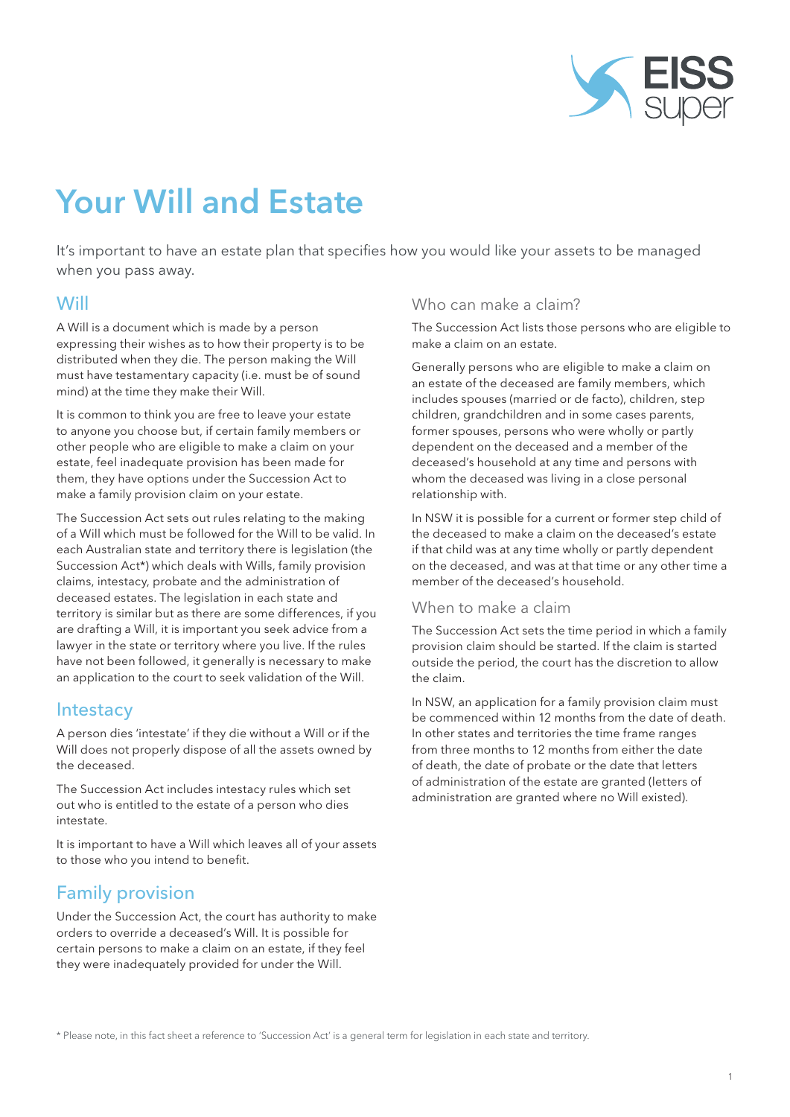

# Your Will and Estate

It's important to have an estate plan that specifies how you would like your assets to be managed when you pass away.

### **Will**

A Will is a document which is made by a person expressing their wishes as to how their property is to be distributed when they die. The person making the Will must have testamentary capacity (i.e. must be of sound mind) at the time they make their Will.

It is common to think you are free to leave your estate to anyone you choose but, if certain family members or other people who are eligible to make a claim on your estate, feel inadequate provision has been made for them, they have options under the Succession Act to make a family provision claim on your estate.

The Succession Act sets out rules relating to the making of a Will which must be followed for the Will to be valid. In each Australian state and territory there is legislation (the Succession Act\*) which deals with Wills, family provision claims, intestacy, probate and the administration of deceased estates. The legislation in each state and territory is similar but as there are some differences, if you are drafting a Will, it is important you seek advice from a lawyer in the state or territory where you live. If the rules have not been followed, it generally is necessary to make an application to the court to seek validation of the Will.

#### **Intestacy**

A person dies 'intestate' if they die without a Will or if the Will does not properly dispose of all the assets owned by the deceased.

The Succession Act includes intestacy rules which set out who is entitled to the estate of a person who dies intestate.

It is important to have a Will which leaves all of your assets to those who you intend to benefit.

# Family provision

Under the Succession Act, the court has authority to make orders to override a deceased's Will. It is possible for certain persons to make a claim on an estate, if they feel they were inadequately provided for under the Will.

#### Who can make a claim?

The Succession Act lists those persons who are eligible to make a claim on an estate.

Generally persons who are eligible to make a claim on an estate of the deceased are family members, which includes spouses (married or de facto), children, step children, grandchildren and in some cases parents, former spouses, persons who were wholly or partly dependent on the deceased and a member of the deceased's household at any time and persons with whom the deceased was living in a close personal relationship with.

In NSW it is possible for a current or former step child of the deceased to make a claim on the deceased's estate if that child was at any time wholly or partly dependent on the deceased, and was at that time or any other time a member of the deceased's household.

#### When to make a claim

The Succession Act sets the time period in which a family provision claim should be started. If the claim is started outside the period, the court has the discretion to allow the claim.

In NSW, an application for a family provision claim must be commenced within 12 months from the date of death. In other states and territories the time frame ranges from three months to 12 months from either the date of death, the date of probate or the date that letters of administration of the estate are granted (letters of administration are granted where no Will existed).

\* Please note, in this fact sheet a reference to 'Succession Act' is a general term for legislation in each state and territory.